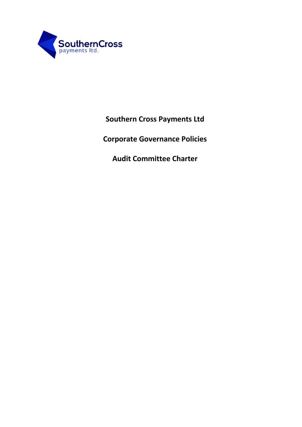

**Southern Cross Payments Ltd**

**Corporate Governance Policies**

**Audit Committee Charter**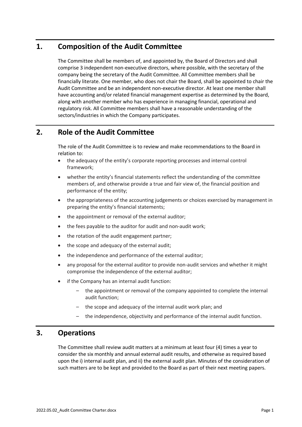# **1. Composition of the Audit Committee**

The Committee shall be members of, and appointed by, the Board of Directors and shall comprise 3 independent non-executive directors, where possible, with the secretary of the company being the secretary of the Audit Committee. All Committee members shall be financially literate. One member, who does not chair the Board, shall be appointed to chair the Audit Committee and be an independent non-executive director. At least one member shall have accounting and/or related financial management expertise as determined by the Board, along with another member who has experience in managing financial, operational and regulatory risk. All Committee members shall have a reasonable understanding of the sectors/industries in which the Company participates.

# **2. Role of the Audit Committee**

The role of the Audit Committee is to review and make recommendations to the Board in relation to:

- the adequacy of the entity's corporate reporting processes and internal control framework;
- whether the entity's financial statements reflect the understanding of the committee members of, and otherwise provide a true and fair view of, the financial position and performance of the entity;
- the appropriateness of the accounting judgements or choices exercised by management in preparing the entity's financial statements;
- the appointment or removal of the external auditor;
- the fees payable to the auditor for audit and non-audit work;
- the rotation of the audit engagement partner;
- the scope and adequacy of the external audit;
- the independence and performance of the external auditor;
- any proposal for the external auditor to provide non-audit services and whether it might compromise the independence of the external auditor;
- if the Company has an internal audit function:
	- the appointment or removal of the company appointed to complete the internal audit function;
	- the scope and adequacy of the internal audit work plan; and
	- the independence, objectivity and performance of the internal audit function.

## **3. Operations**

The Committee shall review audit matters at a minimum at least four (4) times a year to consider the six monthly and annual external audit results, and otherwise as required based upon the i) internal audit plan, and ii) the external audit plan. Minutes of the consideration of such matters are to be kept and provided to the Board as part of their next meeting papers.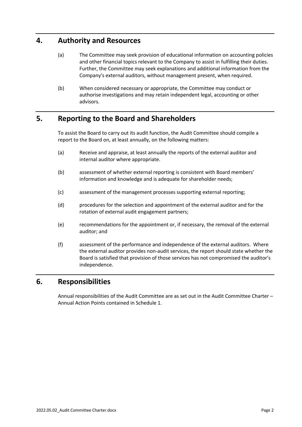## **4. Authority and Resources**

- (a) The Committee may seek provision of educational information on accounting policies and other financial topics relevant to the Company to assist in fulfilling their duties. Further, the Committee may seek explanations and additional information from the Company's external auditors, without management present, when required.
- (b) When considered necessary or appropriate, the Committee may conduct or authorise investigations and may retain independent legal, accounting or other advisors.

# **5. Reporting to the Board and Shareholders**

To assist the Board to carry out its audit function, the Audit Committee should compile a report to the Board on, at least annually, on the following matters:

- (a) Receive and appraise, at least annually the reports of the external auditor and internal auditor where appropriate.
- (b) assessment of whether external reporting is consistent with Board members' information and knowledge and is adequate for shareholder needs;
- (c) assessment of the management processes supporting external reporting;
- (d) procedures for the selection and appointment of the external auditor and for the rotation of external audit engagement partners;
- (e) recommendations for the appointment or, if necessary, the removal of the external auditor; and
- (f) assessment of the performance and independence of the external auditors. Where the external auditor provides non-audit services, the report should state whether the Board is satisfied that provision of those services has not compromised the auditor's independence.

## **6. Responsibilities**

Annual responsibilities of the Audit Committee are as set out in the Audit Committee Charter – Annual Action Points contained in Schedule 1.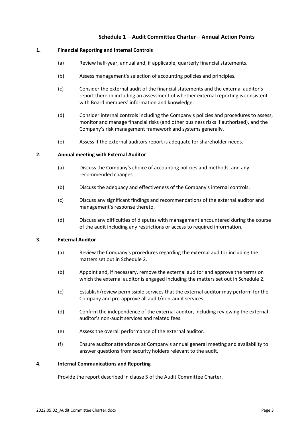## **Schedule 1 – Audit Committee Charter – Annual Action Points**

### **1. Financial Reporting and Internal Controls**

- (a) Review half-year, annual and, if applicable, quarterly financial statements.
- (b) Assess management's selection of accounting policies and principles.
- (c) Consider the external audit of the financial statements and the external auditor's report thereon including an assessment of whether external reporting is consistent with Board members' information and knowledge.
- (d) Consider internal controls including the Company's policies and procedures to assess, monitor and manage financial risks (and other business risks if authorised), and the Company's risk management framework and systems generally.
- (e) Assess if the external auditors report is adequate for shareholder needs.

#### **2. Annual meeting with External Auditor**

- (a) Discuss the Company's choice of accounting policies and methods, and any recommended changes.
- (b) Discuss the adequacy and effectiveness of the Company's internal controls.
- (c) Discuss any significant findings and recommendations of the external auditor and management's response thereto.
- (d) Discuss any difficulties of disputes with management encountered during the course of the audit including any restrictions or access to required information.

### **3. External Auditor**

- (a) Review the Company's procedures regarding the external auditor including the matters set out in Schedule 2.
- (b) Appoint and, if necessary, remove the external auditor and approve the terms on which the external auditor is engaged including the matters set out in Schedule 2.
- (c) Establish/review permissible services that the external auditor may perform for the Company and pre-approve all audit/non-audit services.
- (d) Confirm the independence of the external auditor, including reviewing the external auditor's non-audit services and related fees.
- (e) Assess the overall performance of the external auditor.
- (f) Ensure auditor attendance at Company's annual general meeting and availability to answer questions from security holders relevant to the audit.

#### **4. Internal Communications and Reporting**

Provide the report described in clause 5 of the Audit Committee Charter.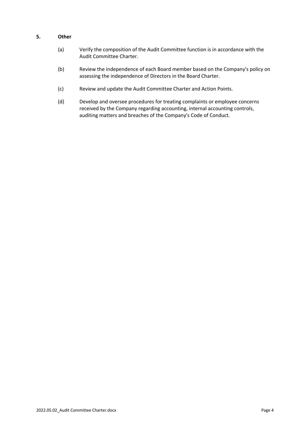## **5. Other**

- (a) Verify the composition of the Audit Committee function is in accordance with the Audit Committee Charter.
- (b) Review the independence of each Board member based on the Company's policy on assessing the independence of Directors in the Board Charter.
- (c) Review and update the Audit Committee Charter and Action Points.
- (d) Develop and oversee procedures for treating complaints or employee concerns received by the Company regarding accounting, internal accounting controls, auditing matters and breaches of the Company's Code of Conduct.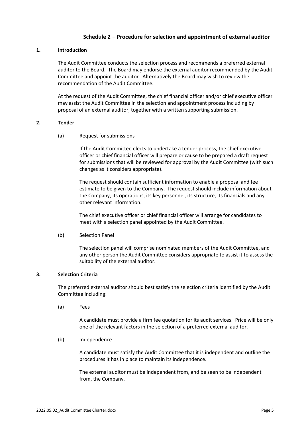## **Schedule 2 – Procedure for selection and appointment of external auditor**

#### **1. Introduction**

The Audit Committee conducts the selection process and recommends a preferred external auditor to the Board. The Board may endorse the external auditor recommended by the Audit Committee and appoint the auditor. Alternatively the Board may wish to review the recommendation of the Audit Committee.

At the request of the Audit Committee, the chief financial officer and/or chief executive officer may assist the Audit Committee in the selection and appointment process including by proposal of an external auditor, together with a written supporting submission.

#### **2. Tender**

(a) Request for submissions

If the Audit Committee elects to undertake a tender process, the chief executive officer or chief financial officer will prepare or cause to be prepared a draft request for submissions that will be reviewed for approval by the Audit Committee (with such changes as it considers appropriate).

The request should contain sufficient information to enable a proposal and fee estimate to be given to the Company. The request should include information about the Company, its operations, its key personnel, its structure, its financials and any other relevant information.

The chief executive officer or chief financial officer will arrange for candidates to meet with a selection panel appointed by the Audit Committee.

#### (b) Selection Panel

The selection panel will comprise nominated members of the Audit Committee, and any other person the Audit Committee considers appropriate to assist it to assess the suitability of the external auditor.

### **3. Selection Criteria**

The preferred external auditor should best satisfy the selection criteria identified by the Audit Committee including:

(a) Fees

A candidate must provide a firm fee quotation for its audit services. Price will be only one of the relevant factors in the selection of a preferred external auditor.

(b) Independence

A candidate must satisfy the Audit Committee that it is independent and outline the procedures it has in place to maintain its independence.

The external auditor must be independent from, and be seen to be independent from, the Company.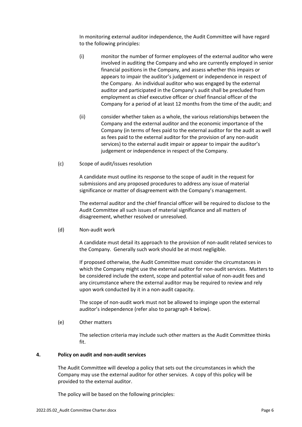In monitoring external auditor independence, the Audit Committee will have regard to the following principles:

- (i) monitor the number of former employees of the external auditor who were involved in auditing the Company and who are currently employed in senior financial positions in the Company, and assess whether this impairs or appears to impair the auditor's judgement or independence in respect of the Company. An individual auditor who was engaged by the external auditor and participated in the Company's audit shall be precluded from employment as chief executive officer or chief financial officer of the Company for a period of at least 12 months from the time of the audit; and
- (ii) consider whether taken as a whole, the various relationships between the Company and the external auditor and the economic importance of the Company (in terms of fees paid to the external auditor for the audit as well as fees paid to the external auditor for the provision of any non-audit services) to the external audit impair or appear to impair the auditor's judgement or independence in respect of the Company.
- (c) Scope of audit/issues resolution

A candidate must outline its response to the scope of audit in the request for submissions and any proposed procedures to address any issue of material significance or matter of disagreement with the Company's management.

The external auditor and the chief financial officer will be required to disclose to the Audit Committee all such issues of material significance and all matters of disagreement, whether resolved or unresolved.

(d) Non-audit work

A candidate must detail its approach to the provision of non-audit related services to the Company. Generally such work should be at most negligible.

If proposed otherwise, the Audit Committee must consider the circumstances in which the Company might use the external auditor for non-audit services. Matters to be considered include the extent, scope and potential value of non-audit fees and any circumstance where the external auditor may be required to review and rely upon work conducted by it in a non-audit capacity.

The scope of non-audit work must not be allowed to impinge upon the external auditor's independence (refer also to paragraph 4 below).

(e) Other matters

The selection criteria may include such other matters as the Audit Committee thinks fit.

#### **4. Policy on audit and non-audit services**

The Audit Committee will develop a policy that sets out the circumstances in which the Company may use the external auditor for other services. A copy of this policy will be provided to the external auditor.

The policy will be based on the following principles: